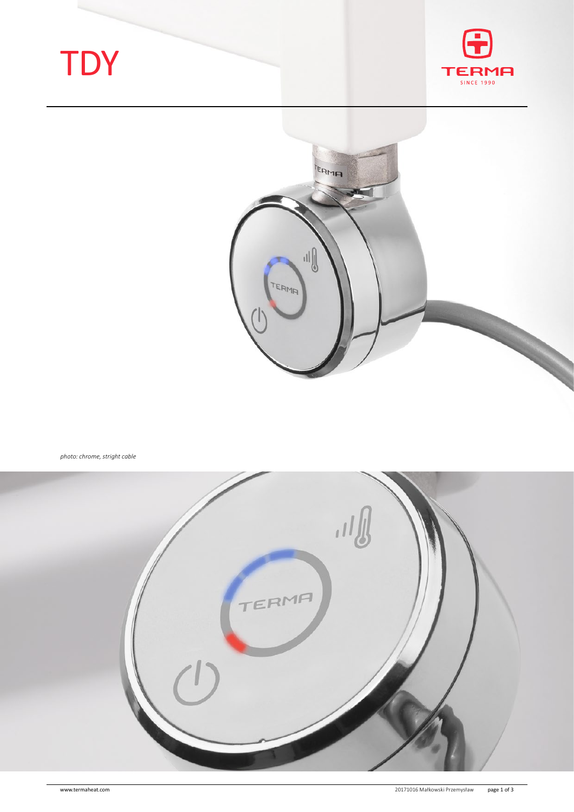# **TDY**





*photo: chrome, stright cable*

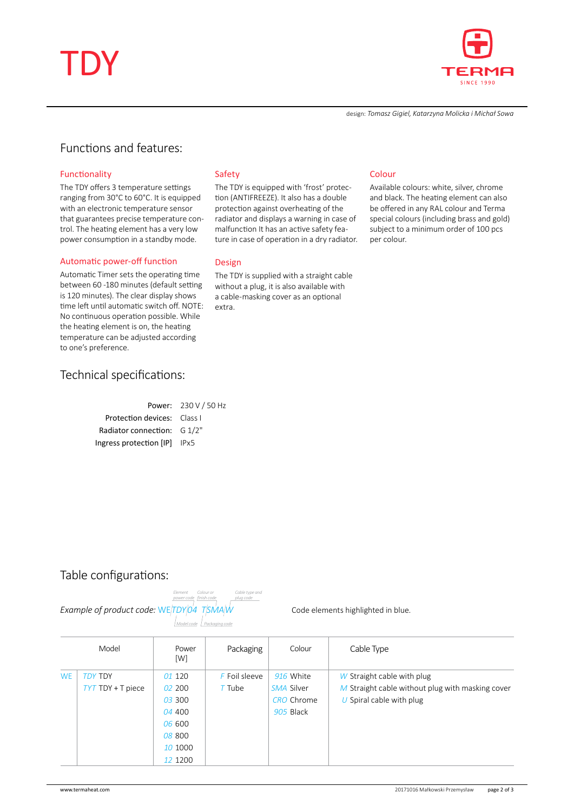



design: *Tomasz Gigiel, Katarzyna Molicka i Michał Sowa*

# Functions and features:

#### Functionality

The TDY offers 3 temperature settings ranging from 30°C to 60°C. It is equipped with an electronic temperature sensor that guarantees precise temperature control. The heating element has a very low power consumption in a standby mode.

#### Automatic power-off function

Automatic Timer sets the operating time between 60 -180 minutes (default setting is 120 minutes). The clear display shows time left until automatic switch off. NOTE: No continuous operation possible. While the heating element is on, the heating temperature can be adjusted according to one's preference.

## Technical specifications:

| Power: 230 V / 50 Hz               |
|------------------------------------|
| <b>Protection devices:</b> Class I |
| Radiator connection: $G_1/2$ "     |
| Ingress protection [IP] IPx5       |
|                                    |

#### Safety

The TDY is equipped with 'frost' protection (ANTIFREEZE). It also has a double protection against overheating of the radiator and displays a warning in case of malfunction It has an active safety feature in case of operation in a dry radiator.

#### Design

The TDY is supplied with a straight cable without a plug, it is also available with a cable-masking cover as an optional extra.

#### Colour

Available colours: white, silver, chrome and black. The heating element can also be offered in any RAL colour and Terma special colours (including brass and gold) subject to a minimum order of 100 pcs per colour.

### Table configurations:



Code elements highlighted in blue.

|           | Model               | Power<br>[W] | Packaging       | Colour            | Cable Type                                         |
|-----------|---------------------|--------------|-----------------|-------------------|----------------------------------------------------|
| <b>WE</b> | <b>TDY TDY</b>      | 01 120       | $F$ Foil sleeve | 916 White         | W Straight cable with plug                         |
|           | $TYT$ TDY + T piece | 02,200       | $T$ Tube        | SMA Silver        | $M$ Straight cable without plug with masking cover |
|           |                     | 03300        |                 | <b>CRO</b> Chrome | U Spiral cable with plug                           |
|           |                     | 04 400       |                 | 905 Black         |                                                    |
|           |                     | 06 600       |                 |                   |                                                    |
|           |                     | 08 800       |                 |                   |                                                    |
|           |                     | 10 1000      |                 |                   |                                                    |
|           |                     | 12 1200      |                 |                   |                                                    |